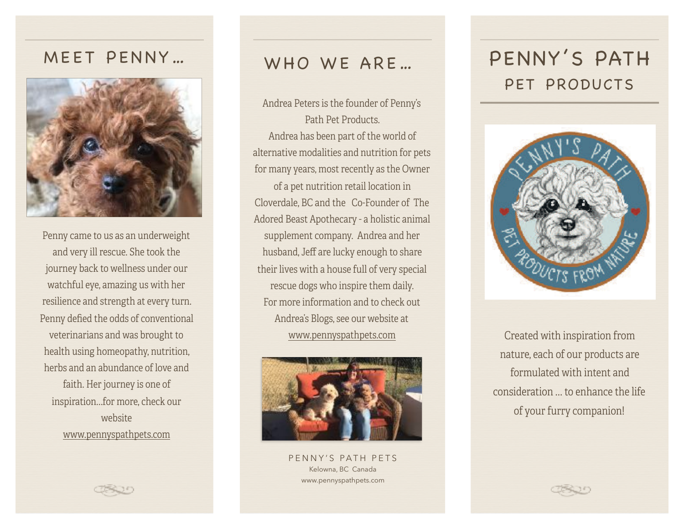## MEET PENNY…



Penny came to us as an underweight and very ill rescue. She took the journey back to wellness under our watchful eye, amazing us with her resilience and strength at every turn. Penny defied the odds of conventional veterinarians and was brought to health using homeopathy, nutrition, herbs and an abundance of love and faith. Her journey is one of inspiration…for more, check our website [www.pennyspathpets.com](http://www.pennyspathpets.com)

## WHO WE ARE…

Andrea Peters is the founder of Penny's Path Pet Products. Andrea has been part of the world of alternative modalities and nutrition for pets for many years, most recently as the Owner of a pet nutrition retail location in Cloverdale, BC and the Co-Founder of The Adored Beast Apothecary - a holistic animal supplement company. Andrea and her husband, Jeff are lucky enough to share their lives with a house full of very special rescue dogs who inspire them daily. For more information and to check out Andrea's Blogs, see our website at [www.pennyspathpets.com](http://www.pennyspathpets.com)



PENNY'S PATH PETS Kelowna, BC Canada www.pennyspathpets.com

# PENNY'S PATH PET PRODUCTS



Created with inspiration from nature, each of our products are formulated with intent and consideration … to enhance the life of your furry companion!